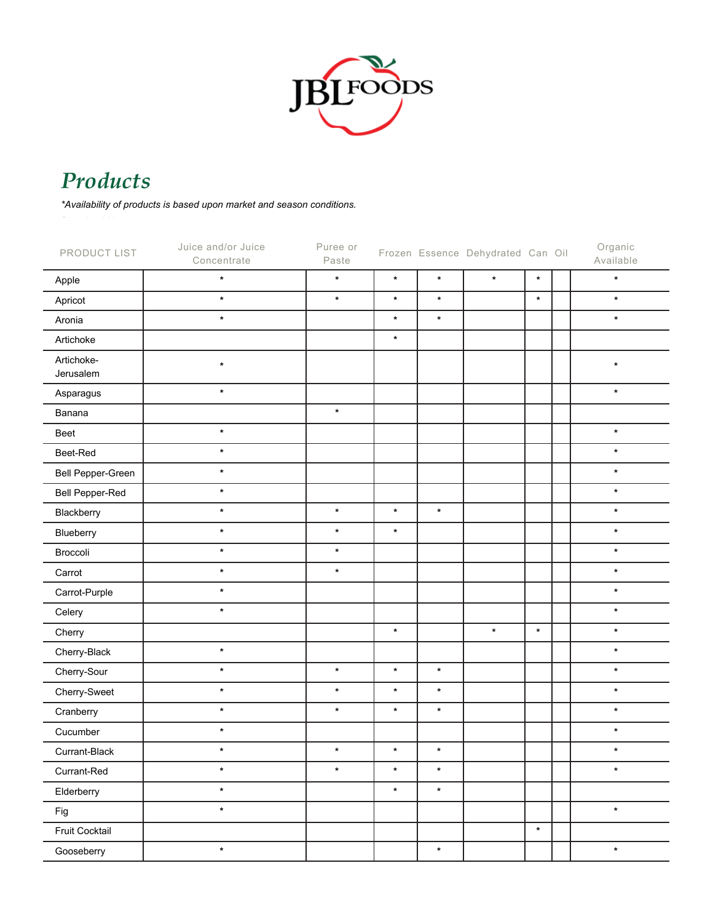

## *Products Products \*Availability of products is based upon market and season conditions.*

*\*Availability of products is based upon market and season conditions. Products Download List*

| PRODUCT LIST            | Juice and/or Juice<br>Concentrate | Puree or<br>Paste |         |         | Frozen Essence Dehydrated Can Oil |         | Organic<br>Available |
|-------------------------|-----------------------------------|-------------------|---------|---------|-----------------------------------|---------|----------------------|
| Apple                   | $\star$                           | $\star$           | $\star$ | $\star$ | $\star$                           | $\star$ | $\star$              |
| Apricot                 | $\star$                           | $\star$           | $\star$ | $\star$ |                                   | $\star$ | $\star$              |
| Aronia                  | $\star$                           |                   | $\star$ | $\star$ |                                   |         | $\star$              |
| Artichoke               |                                   |                   | $\star$ |         |                                   |         |                      |
| Artichoke-<br>Jerusalem | $\star$                           |                   |         |         |                                   |         | $\star$              |
| Asparagus               | $\star$                           |                   |         |         |                                   |         | $\star$              |
| Banana                  |                                   | $\star$           |         |         |                                   |         |                      |
| Beet                    | $\star$                           |                   |         |         |                                   |         | $\star$              |
| Beet-Red                | $\star$                           |                   |         |         |                                   |         | $\star$              |
| Bell Pepper-Green       | $\star$                           |                   |         |         |                                   |         | $\star$              |
| Bell Pepper-Red         | $\star$                           |                   |         |         |                                   |         | $\star$              |
| Blackberry              | $\star$                           | $\star$           | $\star$ | $\star$ |                                   |         | $\star$              |
| Blueberry               | $\star$                           | $\star$           | $\star$ |         |                                   |         | $\star$              |
| Broccoli                | $\star$                           | $\star$           |         |         |                                   |         | $\star$              |
| Carrot                  | $\star$                           | $\star$           |         |         |                                   |         | $\star$              |
| Carrot-Purple           | $\star$                           |                   |         |         |                                   |         | $\star$              |
| Celery                  | $\star$                           |                   |         |         |                                   |         | $\star$              |
| Cherry                  |                                   |                   | $\star$ |         | $\star$                           | $\star$ | $\star$              |
| Cherry-Black            | $\star$                           |                   |         |         |                                   |         | $\star$              |
| Cherry-Sour             | $\star$                           | $\star$           | $\star$ | $\star$ |                                   |         | $\star$              |
| Cherry-Sweet            | $\star$                           | $\star$           | $\star$ | $\star$ |                                   |         | $\star$              |
| Cranberry               | $\star$                           | $\star$           | $\star$ | $\star$ |                                   |         | $\star$              |
| Cucumber                | $\star$                           |                   |         |         |                                   |         | $\star$              |
| Currant-Black           | $\star$                           | $\star$           | $\star$ | $\star$ |                                   |         | $\star$              |
| Currant-Red             | $\star$                           | $\star$           | $\star$ | $\star$ |                                   |         | $\star$              |
| Elderberry              | $\star$                           |                   | $\star$ | $\star$ |                                   |         |                      |
| Fig                     | $\star$                           |                   |         |         |                                   |         | $\star$              |
| Fruit Cocktail          |                                   |                   |         |         |                                   | $\star$ |                      |
| Gooseberry              | $\star$                           |                   |         | $\star$ |                                   |         | $\star$              |